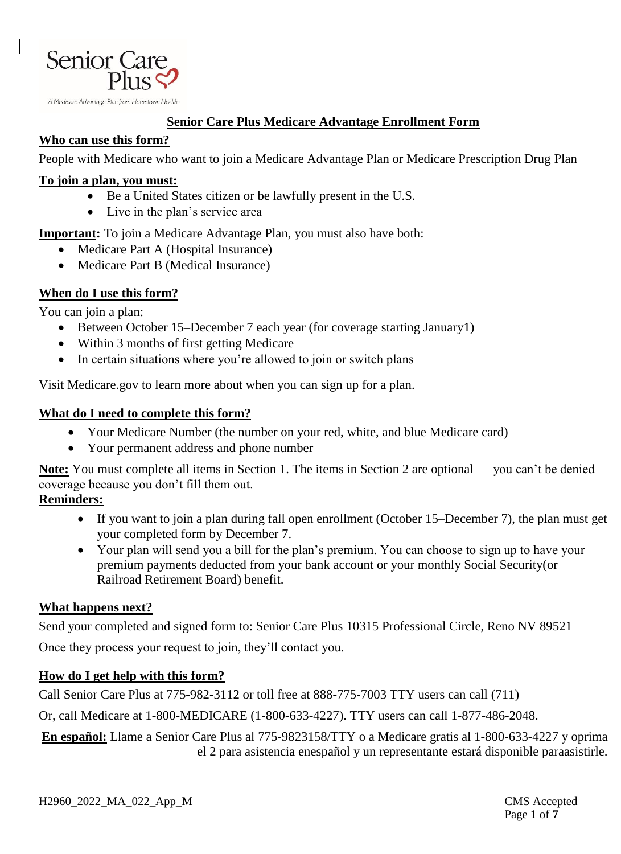

#### **Senior Care Plus Medicare Advantage Enrollment Form**

#### **Who can use this form?**

People with Medicare who want to join a Medicare Advantage Plan or Medicare Prescription Drug Plan

#### **To join a plan, you must:**

- Be a United States citizen or be lawfully present in the U.S.
- Live in the plan's service area

**Important:** To join a Medicare Advantage Plan, you must also have both:

- Medicare Part A (Hospital Insurance)
- Medicare Part B (Medical Insurance)

### **When do I use this form?**

You can join a plan:

- Between October 15–December 7 each year (for coverage starting January1)
- Within 3 months of first getting Medicare
- In certain situations where you're allowed to join or switch plans

Visit Medicare.gov to learn more about when you can sign up for a plan.

#### **What do I need to complete this form?**

- Your Medicare Number (the number on your red, white, and blue Medicare card)
- Your permanent address and phone number

**Note:** You must complete all items in Section 1. The items in Section 2 are optional — you can't be denied coverage because you don't fill them out.

#### **Reminders:**

- If you want to join a plan during fall open enrollment (October 15–December 7), the plan must get your completed form by December 7.
- Your plan will send you a bill for the plan's premium. You can choose to sign up to have your premium payments deducted from your bank account or your monthly Social Security(or Railroad Retirement Board) benefit.

#### **What happens next?**

Send your completed and signed form to: Senior Care Plus 10315 Professional Circle, Reno NV 89521

Once they process your request to join, they'll contact you.

#### **How do I get help with this form?**

Call Senior Care Plus at 775-982-3112 or toll free at 888-775-7003 TTY users can call (711)

Or, call Medicare at 1-800-MEDICARE (1-800-633-4227). TTY users can call 1-877-486-2048.

**En español:** Llame a Senior Care Plus al 775-9823158/TTY o a Medicare gratis al 1-800-633-4227 y oprima el 2 para asistencia enespañol y un representante estará disponible paraasistirle.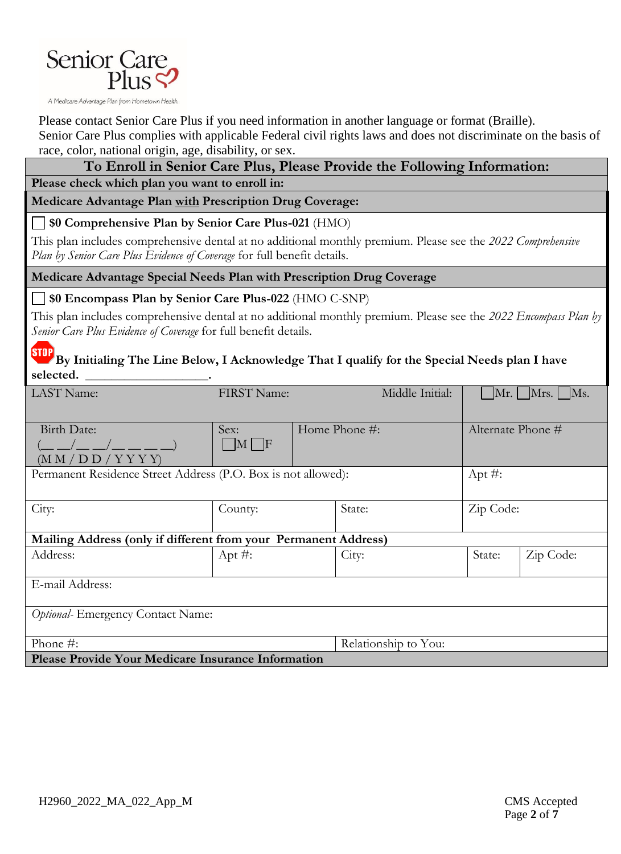

Please contact Senior Care Plus if you need information in another language or format (Braille).

Senior Care Plus complies with applicable Federal civil rights laws and does not discriminate on the basis of race, color, national origin, age, disability, or sex.

## **To Enroll in Senior Care Plus, Please Provide the Following Information:**

**Please check which plan you want to enroll in:**

**Medicare Advantage Plan with Prescription Drug Coverage:**

**\$0 Comprehensive Plan by Senior Care Plus-021** (HMO)

This plan includes comprehensive dental at no additional monthly premium. Please see the *2022 Comprehensive Plan by Senior Care Plus Evidence of Coverage* for full benefit details.

**Medicare Advantage Special Needs Plan with Prescription Drug Coverage** 

**\$0 Encompass Plan by Senior Care Plus-022** (HMO C-SNP)

This plan includes comprehensive dental at no additional monthly premium. Please see the *2022 Encompass Plan by Senior Care Plus Evidence of Coverage* for full benefit details.

**STOP By Initialing The Line Below, I Acknowledge That I qualify for the Special Needs plan I have selected. \_\_\_\_\_\_\_\_\_\_\_\_\_\_\_\_\_\_\_.**

| <b>LAST</b> Name:                                               | <b>FIRST Name:</b> |                   | Middle Initial:      |                   | $\vert$ Mr. $\vert$ Mrs. $\vert$ Ms. |  |
|-----------------------------------------------------------------|--------------------|-------------------|----------------------|-------------------|--------------------------------------|--|
|                                                                 |                    |                   |                      |                   |                                      |  |
| Birth Date:                                                     | Sex:               | Home Phone $\#$ : |                      | Alternate Phone # |                                      |  |
|                                                                 | $\Box M \Box F$    |                   |                      |                   |                                      |  |
| (M M / D D / Y Y Y)                                             |                    |                   |                      |                   |                                      |  |
| Permanent Residence Street Address (P.O. Box is not allowed):   |                    |                   | Apt $#$ :            |                   |                                      |  |
|                                                                 |                    |                   |                      |                   |                                      |  |
| City:                                                           | County:            |                   | State:               | Zip Code:         |                                      |  |
|                                                                 |                    |                   |                      |                   |                                      |  |
| Mailing Address (only if different from your Permanent Address) |                    |                   |                      |                   |                                      |  |
| Address:                                                        | Apt $#$ :          | City:             |                      | State:            | Zip Code:                            |  |
|                                                                 |                    |                   |                      |                   |                                      |  |
| E-mail Address:                                                 |                    |                   |                      |                   |                                      |  |
|                                                                 |                    |                   |                      |                   |                                      |  |
| Optional-Emergency Contact Name:                                |                    |                   |                      |                   |                                      |  |
|                                                                 |                    |                   |                      |                   |                                      |  |
| Phone $#$ :                                                     |                    |                   | Relationship to You: |                   |                                      |  |
| Please Provide Your Medicare Insurance Information              |                    |                   |                      |                   |                                      |  |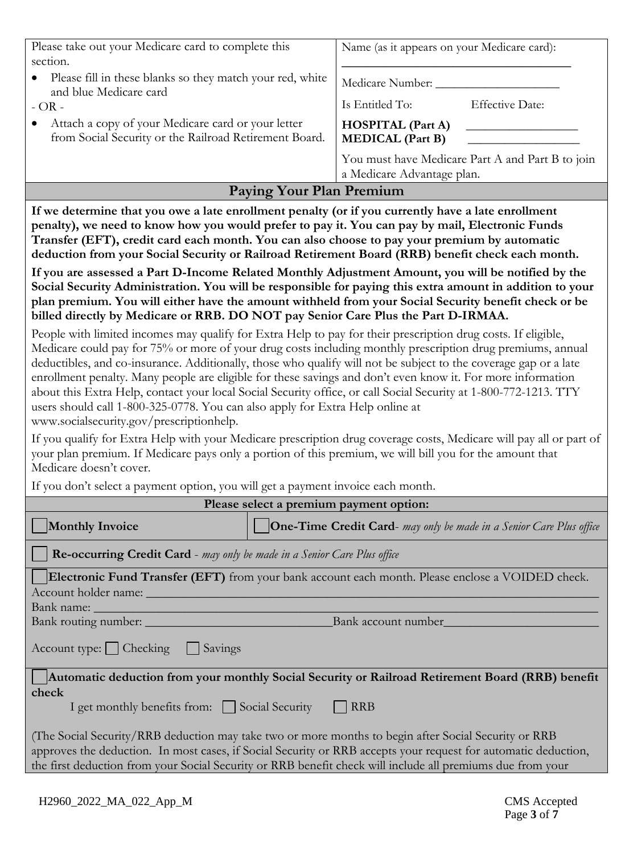| Please take out your Medicare card to complete this                                                          | Name (as it appears on your Medicare card):                                    |                        |  |
|--------------------------------------------------------------------------------------------------------------|--------------------------------------------------------------------------------|------------------------|--|
| section.                                                                                                     |                                                                                |                        |  |
| Please fill in these blanks so they match your red, white<br>and blue Medicare card                          | Medicare Number: ___                                                           |                        |  |
| $-OR -$                                                                                                      | Is Entitled To:                                                                | <b>Effective Date:</b> |  |
| Attach a copy of your Medicare card or your letter<br>from Social Security or the Railroad Retirement Board. | <b>HOSPITAL</b> (Part A)<br><b>MEDICAL</b> (Part B)                            |                        |  |
|                                                                                                              | You must have Medicare Part A and Part B to join<br>a Medicare Advantage plan. |                        |  |

### **Paying Your Plan Premium**

**If we determine that you owe a late enrollment penalty (or if you currently have a late enrollment penalty), we need to know how you would prefer to pay it. You can pay by mail, Electronic Funds Transfer (EFT), credit card each month. You can also choose to pay your premium by automatic deduction from your Social Security or Railroad Retirement Board (RRB) benefit check each month.** 

**If you are assessed a Part D-Income Related Monthly Adjustment Amount, you will be notified by the Social Security Administration. You will be responsible for paying this extra amount in addition to your plan premium. You will either have the amount withheld from your Social Security benefit check or be billed directly by Medicare or RRB. DO NOT pay Senior Care Plus the Part D-IRMAA.**

People with limited incomes may qualify for Extra Help to pay for their prescription drug costs. If eligible, Medicare could pay for 75% or more of your drug costs including monthly prescription drug premiums, annual deductibles, and co-insurance. Additionally, those who qualify will not be subject to the coverage gap or a late enrollment penalty. Many people are eligible for these savings and don't even know it. For more information about this Extra Help, contact your local Social Security office, or call Social Security at 1-800-772-1213. TTY users should call 1-800-325-0778. You can also apply for Extra Help online at www.socialsecurity.gov/prescriptionhelp.

If you qualify for Extra Help with your Medicare prescription drug coverage costs, Medicare will pay all or part of your plan premium. If Medicare pays only a portion of this premium, we will bill you for the amount that Medicare doesn't cover.

If you don't select a payment option, you will get a payment invoice each month.

| Please select a premium payment option:                                                                                                                                                                                |                                                                            |  |  |  |
|------------------------------------------------------------------------------------------------------------------------------------------------------------------------------------------------------------------------|----------------------------------------------------------------------------|--|--|--|
| <b>Monthly Invoice</b>                                                                                                                                                                                                 | <b>One-Time Credit Card-</b> may only be made in a Senior Care Plus office |  |  |  |
| <b>Re-occurring Credit Card</b> - may only be made in a Senior Care Plus office                                                                                                                                        |                                                                            |  |  |  |
| Electronic Fund Transfer (EFT) from your bank account each month. Please enclose a VOIDED check.                                                                                                                       |                                                                            |  |  |  |
| Account holder name: __________                                                                                                                                                                                        |                                                                            |  |  |  |
|                                                                                                                                                                                                                        |                                                                            |  |  |  |
| Bank routing number:                                                                                                                                                                                                   | Bank account number                                                        |  |  |  |
| Account type:     Checking     Savings                                                                                                                                                                                 |                                                                            |  |  |  |
| Automatic deduction from your monthly Social Security or Railroad Retirement Board (RRB) benefit                                                                                                                       |                                                                            |  |  |  |
| check                                                                                                                                                                                                                  |                                                                            |  |  |  |
| I get monthly benefits from: Social Security RRB                                                                                                                                                                       |                                                                            |  |  |  |
| (The Social Security/RRB deduction may take two or more months to begin after Social Security or RRB<br>approves the deduction. In most cases, if Social Security or RRB accepts your request for automatic deduction, |                                                                            |  |  |  |

the first deduction from your Social Security or RRB benefit check will include all premiums due from your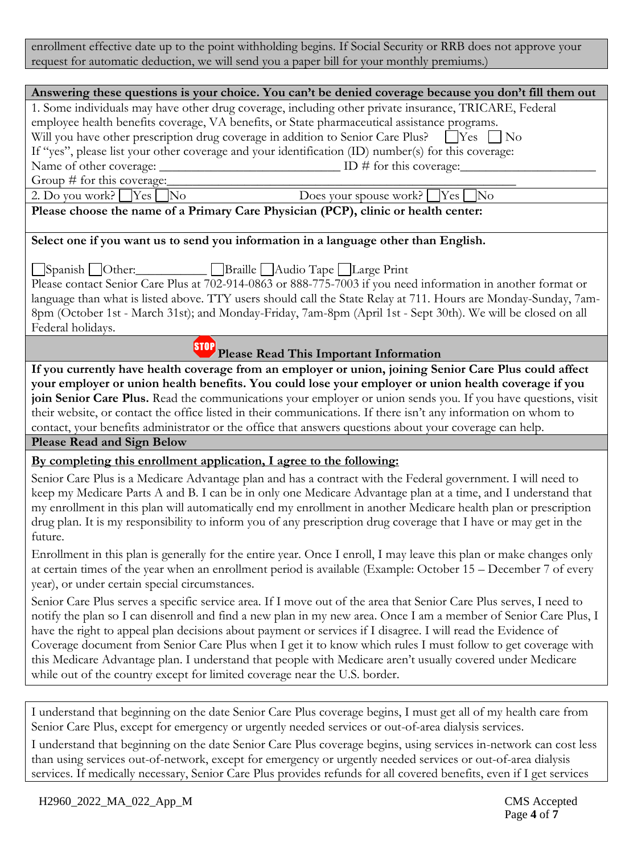enrollment effective date up to the point withholding begins. If Social Security or RRB does not approve your request for automatic deduction, we will send you a paper bill for your monthly premiums.)

#### **Answering these questions is your choice. You can't be denied coverage because you don't fill them out**

1. Some individuals may have other drug coverage, including other private insurance, TRICARE, Federal employee health benefits coverage, VA benefits, or State pharmaceutical assistance programs. Will you have other prescription drug coverage in addition to Senior Care Plus?  $\Box$  Yes  $\Box$  No If "yes", please list your other coverage and your identification (ID) number(s) for this coverage: Name of other coverage: \_\_\_\_\_\_\_\_\_\_\_\_\_\_\_\_\_\_\_\_\_\_\_\_\_\_\_\_\_\_\_\_\_ ID # for this coverage:

Group  $\#$  for this coverage:

2. Do you work?  $\Box$  Yes  $\Box$  No  $\Box$  No  $\Box$  Does your spouse work?  $\Box$  Yes  $\Box$  No

**Please choose the name of a Primary Care Physician (PCP), clinic or health center:**

#### **Select one if you want us to send you information in a language other than English.**

Spanish Other:\_\_\_\_\_\_\_\_\_\_\_ Braille Audio Tape Large Print Please contact Senior Care Plus at 702-914-0863 or 888-775-7003 if you need information in another format or language than what is listed above. TTY users should call the State Relay at 711. Hours are Monday-Sunday, 7am-8pm (October 1st - March 31st); and Monday-Friday, 7am-8pm (April 1st - Sept 30th). We will be closed on all Federal holidays.

# **Please Read This Important Information**

**If you currently have health coverage from an employer or union, joining Senior Care Plus could affect your employer or union health benefits. You could lose your employer or union health coverage if you join Senior Care Plus.** Read the communications your employer or union sends you. If you have questions, visit their website, or contact the office listed in their communications. If there isn't any information on whom to contact, your benefits administrator or the office that answers questions about your coverage can help.

**Please Read and Sign Below** 

#### **By completing this enrollment application, I agree to the following:**

Senior Care Plus is a Medicare Advantage plan and has a contract with the Federal government. I will need to keep my Medicare Parts A and B. I can be in only one Medicare Advantage plan at a time, and I understand that my enrollment in this plan will automatically end my enrollment in another Medicare health plan or prescription drug plan. It is my responsibility to inform you of any prescription drug coverage that I have or may get in the future.

Enrollment in this plan is generally for the entire year. Once I enroll, I may leave this plan or make changes only at certain times of the year when an enrollment period is available (Example: October 15 – December 7 of every year), or under certain special circumstances.

Senior Care Plus serves a specific service area. If I move out of the area that Senior Care Plus serves, I need to notify the plan so I can disenroll and find a new plan in my new area. Once I am a member of Senior Care Plus, I have the right to appeal plan decisions about payment or services if I disagree. I will read the Evidence of Coverage document from Senior Care Plus when I get it to know which rules I must follow to get coverage with this Medicare Advantage plan. I understand that people with Medicare aren't usually covered under Medicare while out of the country except for limited coverage near the U.S. border.

I understand that beginning on the date Senior Care Plus coverage begins, I must get all of my health care from Senior Care Plus, except for emergency or urgently needed services or out-of-area dialysis services.

I understand that beginning on the date Senior Care Plus coverage begins, using services in-network can cost less than using services out-of-network, except for emergency or urgently needed services or out-of-area dialysis services. If medically necessary, Senior Care Plus provides refunds for all covered benefits, even if I get services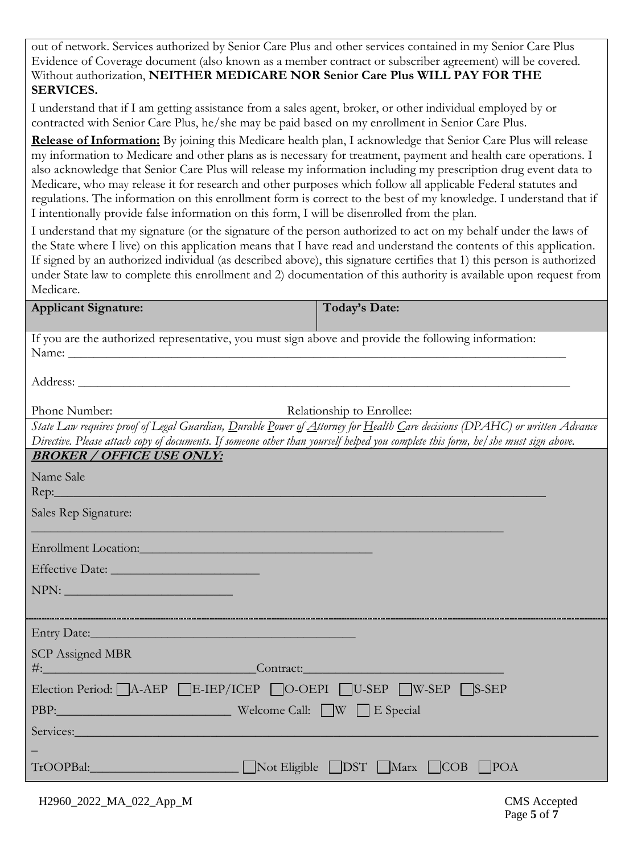out of network. Services authorized by Senior Care Plus and other services contained in my Senior Care Plus Evidence of Coverage document (also known as a member contract or subscriber agreement) will be covered. Without authorization, **NEITHER MEDICARE NOR Senior Care Plus WILL PAY FOR THE SERVICES.** 

I understand that if I am getting assistance from a sales agent, broker, or other individual employed by or contracted with Senior Care Plus, he/she may be paid based on my enrollment in Senior Care Plus.

**Release of Information:** By joining this Medicare health plan, I acknowledge that Senior Care Plus will release my information to Medicare and other plans as is necessary for treatment, payment and health care operations. I also acknowledge that Senior Care Plus will release my information including my prescription drug event data to Medicare, who may release it for research and other purposes which follow all applicable Federal statutes and regulations. The information on this enrollment form is correct to the best of my knowledge. I understand that if I intentionally provide false information on this form, I will be disenrolled from the plan.

I understand that my signature (or the signature of the person authorized to act on my behalf under the laws of the State where I live) on this application means that I have read and understand the contents of this application. If signed by an authorized individual (as described above), this signature certifies that 1) this person is authorized under State law to complete this enrollment and 2) documentation of this authority is available upon request from Medicare.

| <b>Applicant Signature:</b>                                                                                                                                                                                                                                     | <b>Today's Date:</b> |
|-----------------------------------------------------------------------------------------------------------------------------------------------------------------------------------------------------------------------------------------------------------------|----------------------|
| If you are the authorized representative, you must sign above and provide the following information:                                                                                                                                                            |                      |
|                                                                                                                                                                                                                                                                 |                      |
|                                                                                                                                                                                                                                                                 |                      |
| Phone Number:<br>Relationship to Enrollee:                                                                                                                                                                                                                      |                      |
| State Law requires proof of Legal Guardian, Durable Power of Attorney for Health Care decisions (DPAHC) or written Advance<br>Directive. Please attach copy of documents. If someone other than yourself helped you complete this form, he/she must sign above. |                      |
| <b>BROKER / OFFICE USE ONLY:</b>                                                                                                                                                                                                                                |                      |
| Name Sale                                                                                                                                                                                                                                                       |                      |
| Sales Rep Signature:                                                                                                                                                                                                                                            |                      |
| Enrollment Location: Note that the contract of the contract of the contract of the contract of the contract of                                                                                                                                                  |                      |
|                                                                                                                                                                                                                                                                 |                      |
| NPN:                                                                                                                                                                                                                                                            |                      |
|                                                                                                                                                                                                                                                                 |                      |
| Entry Date: No. 1998. The Commission of the Commission of the Commission of the Commission of the Commission of the Commission of the Commission of the Commission of the Commission of the Commission of the Commission of th                                  |                      |
| <b>SCP</b> Assigned MBR                                                                                                                                                                                                                                         |                      |
| <b>Example 2</b> September 2014 1 Contract:                                                                                                                                                                                                                     |                      |
| Election Period: A-AEP E-IEP/ICEP O-OEPI U-SEP W-SEP S-SEP                                                                                                                                                                                                      |                      |
| PBP: Welcome Call: W E Special                                                                                                                                                                                                                                  |                      |
| Services: Services:                                                                                                                                                                                                                                             |                      |
|                                                                                                                                                                                                                                                                 |                      |
| TrOOPBal: Not Eligible DST Marx COB POA                                                                                                                                                                                                                         |                      |
|                                                                                                                                                                                                                                                                 |                      |

H2960\_2022\_MA\_022\_App\_M CMS Accepted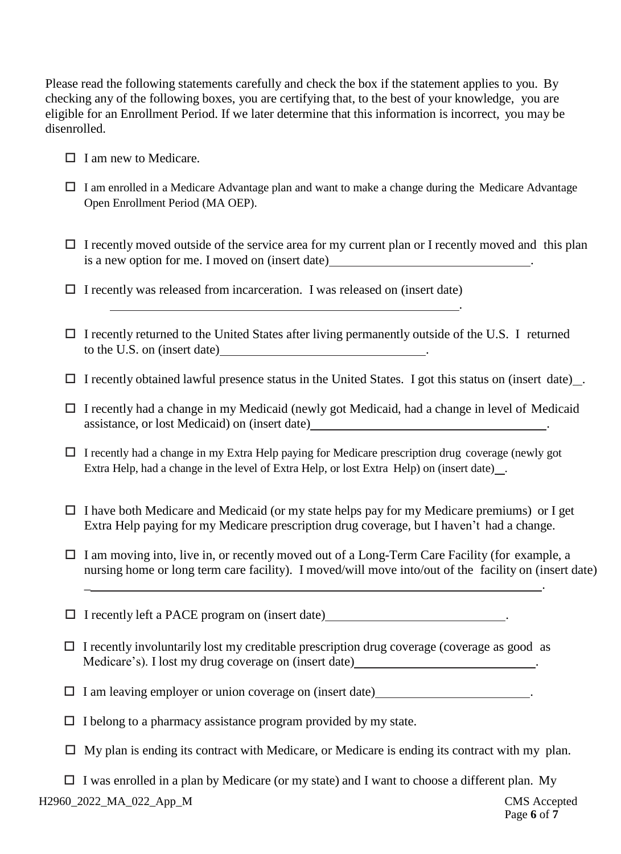Please read the following statements carefully and check the box if the statement applies to you. By checking any of the following boxes, you are certifying that, to the best of your knowledge, you are eligible for an Enrollment Period. If we later determine that this information is incorrect, you may be disenrolled.

- $\Box$  I am new to Medicare.
- $\Box$  I am enrolled in a Medicare Advantage plan and want to make a change during the Medicare Advantage Open Enrollment Period (MA OEP).
- $\Box$  I recently moved outside of the service area for my current plan or I recently moved and this plan is a new option for me. I moved on (insert date) .

<u> 1989 - Johann Stoff, deutscher Stoff, der Stoff, der Stoff, der Stoff, der Stoff, der Stoff, der Stoff, der S</u>

.

- $\Box$  I recently was released from incarceration. I was released on (insert date)
- I recently returned to the United States after living permanently outside of the U.S. I returned to the U.S. on (insert date)  $\qquad \qquad \qquad$
- $\Box$  I recently obtained lawful presence status in the United States. I got this status on (insert date).
- I recently had a change in my Medicaid (newly got Medicaid, had a change in level of Medicaid assistance, or lost Medicaid) on (insert date) .
- $\Box$  I recently had a change in my Extra Help paying for Medicare prescription drug coverage (newly got Extra Help, had a change in the level of Extra Help, or lost Extra Help) on (insert date) .
- $\Box$  I have both Medicare and Medicaid (or my state helps pay for my Medicare premiums) or I get Extra Help paying for my Medicare prescription drug coverage, but I haven't had a change.

\_ .

- $\Box$  I am moving into, live in, or recently moved out of a Long-Term Care Facility (for example, a nursing home or long term care facility). I moved/will move into/out of the facility on (insert date)
- $\Box$  I recently left a PACE program on (insert date)
- $\Box$  I recently involuntarily lost my creditable prescription drug coverage (coverage as good as Medicare's). I lost my drug coverage on (insert date)
- $\Box$  I am leaving employer or union coverage on (insert date).
- $\Box$  I belong to a pharmacy assistance program provided by my state.
- $\Box$  My plan is ending its contract with Medicare, or Medicare is ending its contract with my plan.

H2960\_2022\_MA\_022\_App\_M CMS Accepted  $\Box$  I was enrolled in a plan by Medicare (or my state) and I want to choose a different plan. My